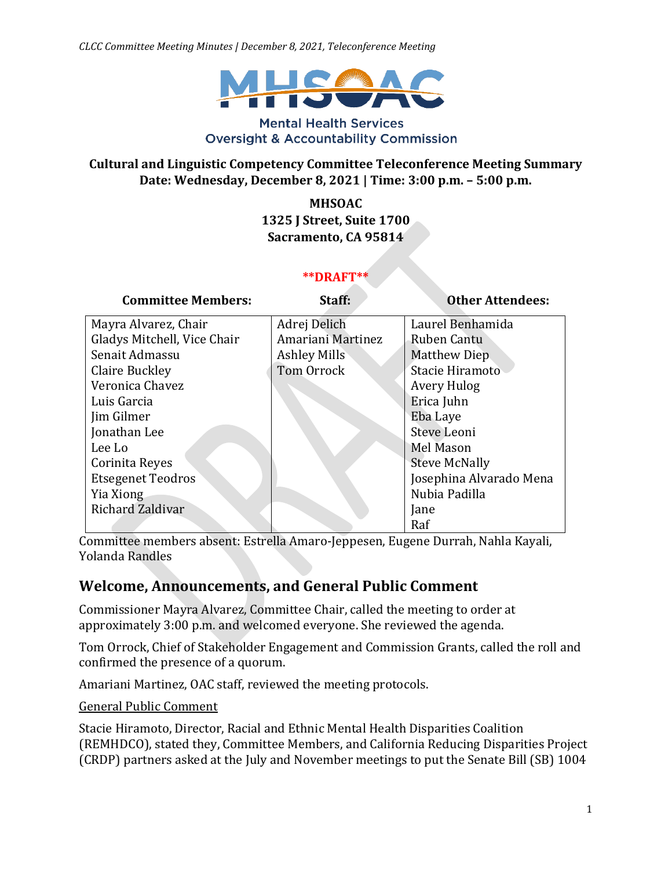*CLCC Committee Meeting Minutes | December 8, 2021, Teleconference Meeting*



#### **Mental Health Services Oversight & Accountability Commission**

#### **Cultural and Linguistic Competency Committee Teleconference Meeting Summary Date: Wednesday, December 8, 2021 | Time: 3:00 p.m. – 5:00 p.m.**

**MHSOAC 1325 J Street, Suite 1700 Sacramento, CA 95814**

#### **\*\*DRAFT\*\***

| <b>Committee Members:</b>   | Staff:              | <b>Other Attendees:</b> |
|-----------------------------|---------------------|-------------------------|
| Mayra Alvarez, Chair        | Adrej Delich        | Laurel Benhamida        |
| Gladys Mitchell, Vice Chair | Amariani Martinez   | Ruben Cantu             |
| Senait Admassu              | <b>Ashley Mills</b> | Matthew Diep            |
| Claire Buckley              | Tom Orrock          | Stacie Hiramoto         |
| Veronica Chavez             |                     | Avery Hulog             |
| Luis Garcia                 |                     | Erica Juhn              |
| Jim Gilmer                  |                     | Eba Laye                |
| Jonathan Lee                |                     | Steve Leoni             |
| Lee Lo                      |                     | Mel Mason               |
| Corinita Reyes              |                     | <b>Steve McNally</b>    |
| <b>Etsegenet Teodros</b>    |                     | Josephina Alvarado Mena |
| Yia Xiong                   |                     | Nubia Padilla           |
| Richard Zaldivar            |                     | Jane                    |
|                             |                     | Raf                     |

Committee members absent: Estrella Amaro-Jeppesen, Eugene Durrah, Nahla Kayali, Yolanda Randles

### **Welcome, Announcements, and General Public Comment**

Commissioner Mayra Alvarez, Committee Chair, called the meeting to order at approximately 3:00 p.m. and welcomed everyone. She reviewed the agenda.

Tom Orrock, Chief of Stakeholder Engagement and Commission Grants, called the roll and confirmed the presence of a quorum.

Amariani Martinez, OAC staff, reviewed the meeting protocols.

General Public Comment

Stacie Hiramoto, Director, Racial and Ethnic Mental Health Disparities Coalition (REMHDCO), stated they, Committee Members, and California Reducing Disparities Project (CRDP) partners asked at the July and November meetings to put the Senate Bill (SB) 1004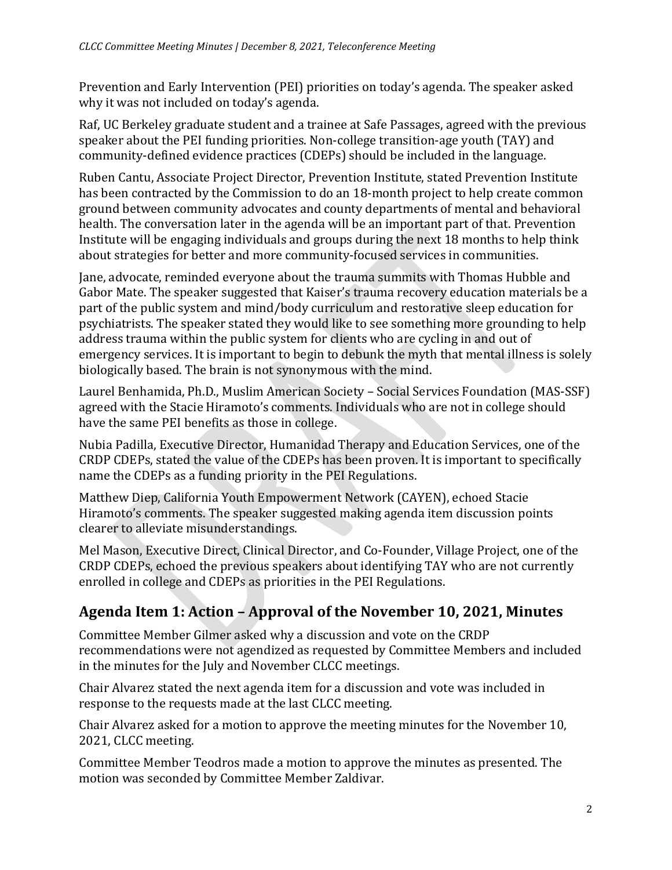Prevention and Early Intervention (PEI) priorities on today's agenda. The speaker asked why it was not included on today's agenda.

Raf, UC Berkeley graduate student and a trainee at Safe Passages, agreed with the previous speaker about the PEI funding priorities. Non-college transition-age youth (TAY) and community-defined evidence practices (CDEPs) should be included in the language.

Ruben Cantu, Associate Project Director, Prevention Institute, stated Prevention Institute has been contracted by the Commission to do an 18-month project to help create common ground between community advocates and county departments of mental and behavioral health. The conversation later in the agenda will be an important part of that. Prevention Institute will be engaging individuals and groups during the next 18 months to help think about strategies for better and more community-focused services in communities.

Jane, advocate, reminded everyone about the trauma summits with Thomas Hubble and Gabor Mate. The speaker suggested that Kaiser's trauma recovery education materials be a part of the public system and mind/body curriculum and restorative sleep education for psychiatrists. The speaker stated they would like to see something more grounding to help address trauma within the public system for clients who are cycling in and out of emergency services. It is important to begin to debunk the myth that mental illness is solely biologically based. The brain is not synonymous with the mind.

Laurel Benhamida, Ph.D., Muslim American Society – Social Services Foundation (MAS-SSF) agreed with the Stacie Hiramoto's comments. Individuals who are not in college should have the same PEI benefits as those in college.

Nubia Padilla, Executive Director, Humanidad Therapy and Education Services, one of the CRDP CDEPs, stated the value of the CDEPs has been proven. It is important to specifically name the CDEPs as a funding priority in the PEI Regulations.

Matthew Diep, California Youth Empowerment Network (CAYEN), echoed Stacie Hiramoto's comments. The speaker suggested making agenda item discussion points clearer to alleviate misunderstandings.

Mel Mason, Executive Direct, Clinical Director, and Co-Founder, Village Project, one of the CRDP CDEPs, echoed the previous speakers about identifying TAY who are not currently enrolled in college and CDEPs as priorities in the PEI Regulations.

# **Agenda Item 1: Action – Approval of the November 10, 2021, Minutes**

Committee Member Gilmer asked why a discussion and vote on the CRDP recommendations were not agendized as requested by Committee Members and included in the minutes for the July and November CLCC meetings.

Chair Alvarez stated the next agenda item for a discussion and vote was included in response to the requests made at the last CLCC meeting.

Chair Alvarez asked for a motion to approve the meeting minutes for the November 10, 2021, CLCC meeting.

Committee Member Teodros made a motion to approve the minutes as presented. The motion was seconded by Committee Member Zaldivar.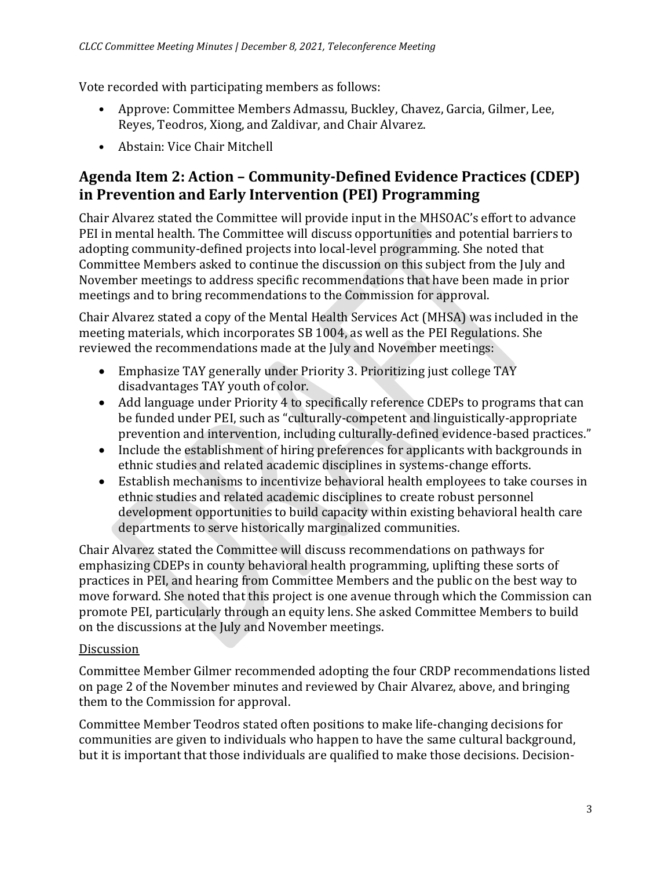Vote recorded with participating members as follows:

- Approve: Committee Members Admassu, Buckley, Chavez, Garcia, Gilmer, Lee, Reyes, Teodros, Xiong, and Zaldivar, and Chair Alvarez.
- Abstain: Vice Chair Mitchell

## **Agenda Item 2: Action – Community-Defined Evidence Practices (CDEP) in Prevention and Early Intervention (PEI) Programming**

Chair Alvarez stated the Committee will provide input in the MHSOAC's effort to advance PEI in mental health. The Committee will discuss opportunities and potential barriers to adopting community-defined projects into local-level programming. She noted that Committee Members asked to continue the discussion on this subject from the July and November meetings to address specific recommendations that have been made in prior meetings and to bring recommendations to the Commission for approval.

Chair Alvarez stated a copy of the Mental Health Services Act (MHSA) was included in the meeting materials, which incorporates SB 1004, as well as the PEI Regulations. She reviewed the recommendations made at the July and November meetings:

- Emphasize TAY generally under Priority 3. Prioritizing just college TAY disadvantages TAY youth of color.
- Add language under Priority 4 to specifically reference CDEPs to programs that can be funded under PEI, such as "culturally-competent and linguistically-appropriate prevention and intervention, including culturally-defined evidence-based practices."
- Include the establishment of hiring preferences for applicants with backgrounds in ethnic studies and related academic disciplines in systems-change efforts.
- Establish mechanisms to incentivize behavioral health employees to take courses in ethnic studies and related academic disciplines to create robust personnel development opportunities to build capacity within existing behavioral health care departments to serve historically marginalized communities.

Chair Alvarez stated the Committee will discuss recommendations on pathways for emphasizing CDEPs in county behavioral health programming, uplifting these sorts of practices in PEI, and hearing from Committee Members and the public on the best way to move forward. She noted that this project is one avenue through which the Commission can promote PEI, particularly through an equity lens. She asked Committee Members to build on the discussions at the July and November meetings.

### Discussion

Committee Member Gilmer recommended adopting the four CRDP recommendations listed on page 2 of the November minutes and reviewed by Chair Alvarez, above, and bringing them to the Commission for approval.

Committee Member Teodros stated often positions to make life-changing decisions for communities are given to individuals who happen to have the same cultural background, but it is important that those individuals are qualified to make those decisions. Decision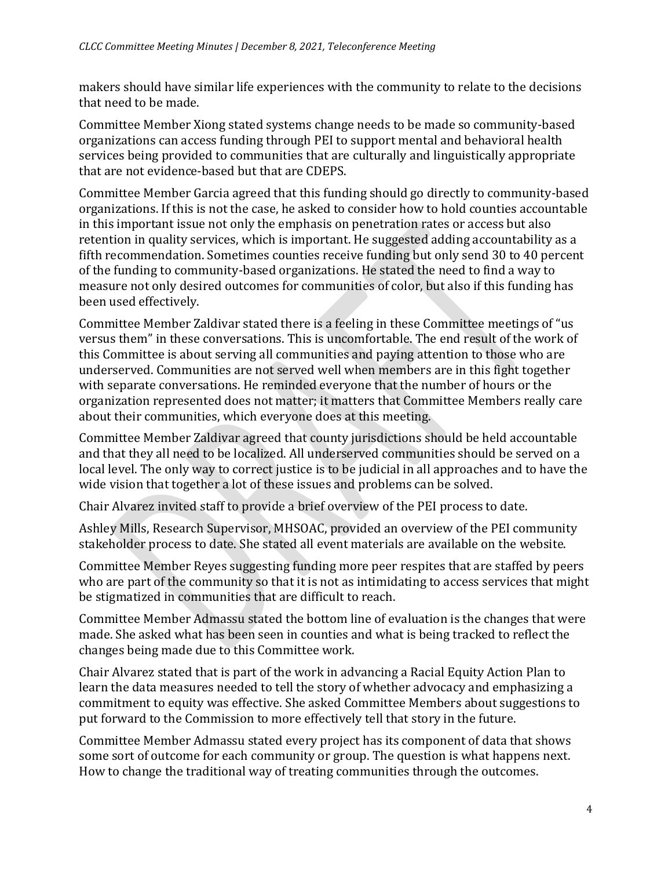makers should have similar life experiences with the community to relate to the decisions that need to be made.

Committee Member Xiong stated systems change needs to be made so community-based organizations can access funding through PEI to support mental and behavioral health services being provided to communities that are culturally and linguistically appropriate that are not evidence-based but that are CDEPS.

Committee Member Garcia agreed that this funding should go directly to community-based organizations. If this is not the case, he asked to consider how to hold counties accountable in this important issue not only the emphasis on penetration rates or access but also retention in quality services, which is important. He suggested adding accountability as a fifth recommendation. Sometimes counties receive funding but only send 30 to 40 percent of the funding to community-based organizations. He stated the need to find a way to measure not only desired outcomes for communities of color, but also if this funding has been used effectively.

Committee Member Zaldivar stated there is a feeling in these Committee meetings of "us versus them" in these conversations. This is uncomfortable. The end result of the work of this Committee is about serving all communities and paying attention to those who are underserved. Communities are not served well when members are in this fight together with separate conversations. He reminded everyone that the number of hours or the organization represented does not matter; it matters that Committee Members really care about their communities, which everyone does at this meeting.

Committee Member Zaldivar agreed that county jurisdictions should be held accountable and that they all need to be localized. All underserved communities should be served on a local level. The only way to correct justice is to be judicial in all approaches and to have the wide vision that together a lot of these issues and problems can be solved.

Chair Alvarez invited staff to provide a brief overview of the PEI process to date.

Ashley Mills, Research Supervisor, MHSOAC, provided an overview of the PEI community stakeholder process to date. She stated all event materials are available on the website.

Committee Member Reyes suggesting funding more peer respites that are staffed by peers who are part of the community so that it is not as intimidating to access services that might be stigmatized in communities that are difficult to reach.

Committee Member Admassu stated the bottom line of evaluation is the changes that were made. She asked what has been seen in counties and what is being tracked to reflect the changes being made due to this Committee work.

Chair Alvarez stated that is part of the work in advancing a Racial Equity Action Plan to learn the data measures needed to tell the story of whether advocacy and emphasizing a commitment to equity was effective. She asked Committee Members about suggestions to put forward to the Commission to more effectively tell that story in the future.

Committee Member Admassu stated every project has its component of data that shows some sort of outcome for each community or group. The question is what happens next. How to change the traditional way of treating communities through the outcomes.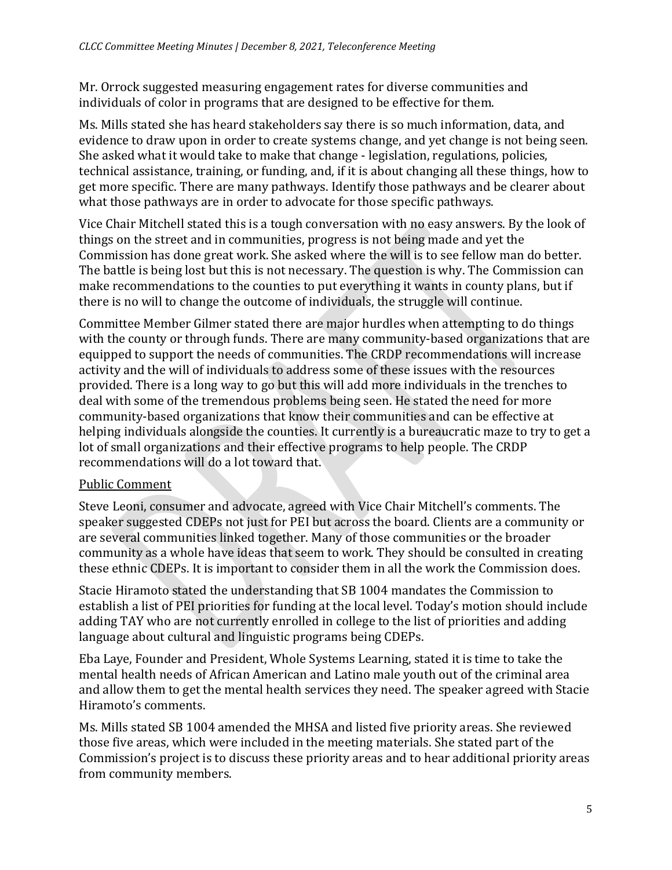Mr. Orrock suggested measuring engagement rates for diverse communities and individuals of color in programs that are designed to be effective for them.

Ms. Mills stated she has heard stakeholders say there is so much information, data, and evidence to draw upon in order to create systems change, and yet change is not being seen. She asked what it would take to make that change - legislation, regulations, policies, technical assistance, training, or funding, and, if it is about changing all these things, how to get more specific. There are many pathways. Identify those pathways and be clearer about what those pathways are in order to advocate for those specific pathways.

Vice Chair Mitchell stated this is a tough conversation with no easy answers. By the look of things on the street and in communities, progress is not being made and yet the Commission has done great work. She asked where the will is to see fellow man do better. The battle is being lost but this is not necessary. The question is why. The Commission can make recommendations to the counties to put everything it wants in county plans, but if there is no will to change the outcome of individuals, the struggle will continue.

Committee Member Gilmer stated there are major hurdles when attempting to do things with the county or through funds. There are many community-based organizations that are equipped to support the needs of communities. The CRDP recommendations will increase activity and the will of individuals to address some of these issues with the resources provided. There is a long way to go but this will add more individuals in the trenches to deal with some of the tremendous problems being seen. He stated the need for more community-based organizations that know their communities and can be effective at helping individuals alongside the counties. It currently is a bureaucratic maze to try to get a lot of small organizations and their effective programs to help people. The CRDP recommendations will do a lot toward that.

### Public Comment

Steve Leoni, consumer and advocate, agreed with Vice Chair Mitchell's comments. The speaker suggested CDEPs not just for PEI but across the board. Clients are a community or are several communities linked together. Many of those communities or the broader community as a whole have ideas that seem to work. They should be consulted in creating these ethnic CDEPs. It is important to consider them in all the work the Commission does.

Stacie Hiramoto stated the understanding that SB 1004 mandates the Commission to establish a list of PEI priorities for funding at the local level. Today's motion should include adding TAY who are not currently enrolled in college to the list of priorities and adding language about cultural and linguistic programs being CDEPs.

Eba Laye, Founder and President, Whole Systems Learning, stated it is time to take the mental health needs of African American and Latino male youth out of the criminal area and allow them to get the mental health services they need. The speaker agreed with Stacie Hiramoto's comments.

Ms. Mills stated SB 1004 amended the MHSA and listed five priority areas. She reviewed those five areas, which were included in the meeting materials. She stated part of the Commission's project is to discuss these priority areas and to hear additional priority areas from community members.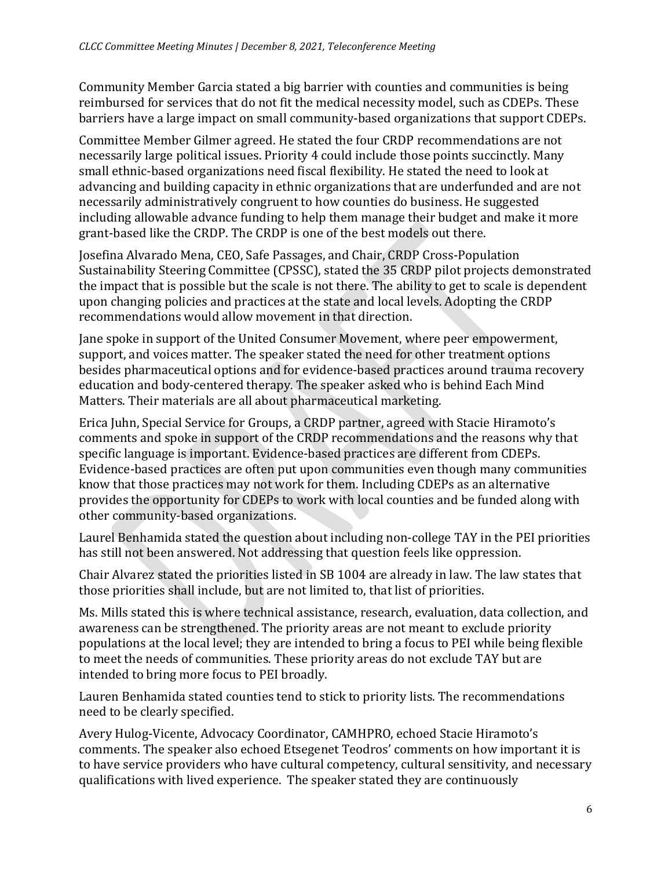Community Member Garcia stated a big barrier with counties and communities is being reimbursed for services that do not fit the medical necessity model, such as CDEPs. These barriers have a large impact on small community-based organizations that support CDEPs.

Committee Member Gilmer agreed. He stated the four CRDP recommendations are not necessarily large political issues. Priority 4 could include those points succinctly. Many small ethnic-based organizations need fiscal flexibility. He stated the need to look at advancing and building capacity in ethnic organizations that are underfunded and are not necessarily administratively congruent to how counties do business. He suggested including allowable advance funding to help them manage their budget and make it more grant-based like the CRDP. The CRDP is one of the best models out there.

Josefina Alvarado Mena, CEO, Safe Passages, and Chair, CRDP Cross-Population Sustainability Steering Committee (CPSSC), stated the 35 CRDP pilot projects demonstrated the impact that is possible but the scale is not there. The ability to get to scale is dependent upon changing policies and practices at the state and local levels. Adopting the CRDP recommendations would allow movement in that direction.

Jane spoke in support of the United Consumer Movement, where peer empowerment, support, and voices matter. The speaker stated the need for other treatment options besides pharmaceutical options and for evidence-based practices around trauma recovery education and body-centered therapy. The speaker asked who is behind Each Mind Matters. Their materials are all about pharmaceutical marketing.

Erica Juhn, Special Service for Groups, a CRDP partner, agreed with Stacie Hiramoto's comments and spoke in support of the CRDP recommendations and the reasons why that specific language is important. Evidence-based practices are different from CDEPs. Evidence-based practices are often put upon communities even though many communities know that those practices may not work for them. Including CDEPs as an alternative provides the opportunity for CDEPs to work with local counties and be funded along with other community-based organizations.

Laurel Benhamida stated the question about including non-college TAY in the PEI priorities has still not been answered. Not addressing that question feels like oppression.

Chair Alvarez stated the priorities listed in SB 1004 are already in law. The law states that those priorities shall include, but are not limited to, that list of priorities.

Ms. Mills stated this is where technical assistance, research, evaluation, data collection, and awareness can be strengthened. The priority areas are not meant to exclude priority populations at the local level; they are intended to bring a focus to PEI while being flexible to meet the needs of communities. These priority areas do not exclude TAY but are intended to bring more focus to PEI broadly.

Lauren Benhamida stated counties tend to stick to priority lists. The recommendations need to be clearly specified.

Avery Hulog-Vicente, Advocacy Coordinator, CAMHPRO, echoed Stacie Hiramoto's comments. The speaker also echoed Etsegenet Teodros' comments on how important it is to have service providers who have cultural competency, cultural sensitivity, and necessary qualifications with lived experience. The speaker stated they are continuously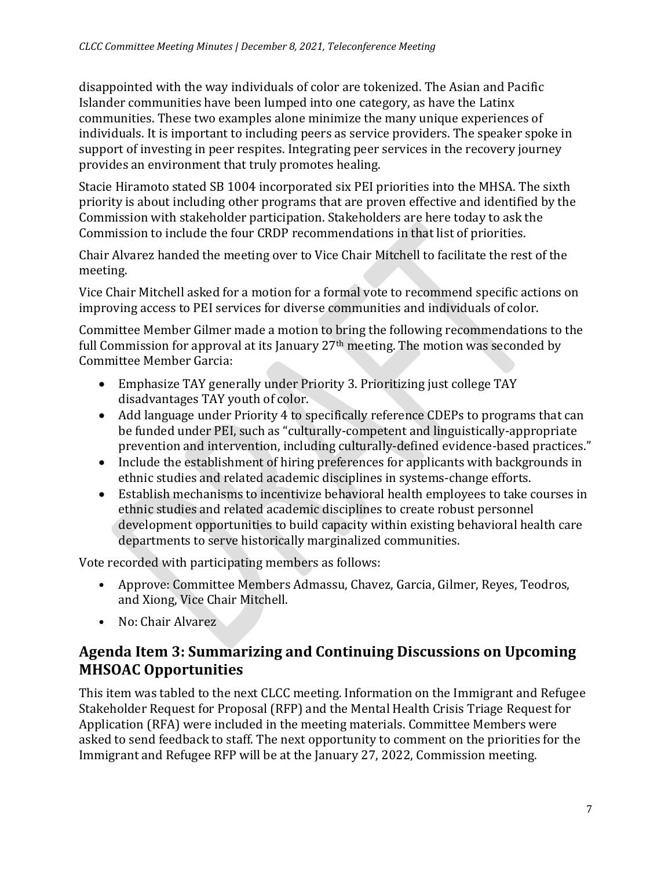disappointed with the way individuals of color are tokenized. The Asian and Pacific Islander communities have been lumped into one category, as have the Latinx communities. These two examples alone minimize the many unique experiences of individuals. It is important to including peers as service providers. The speaker spoke in support of investing in peer respites. Integrating peer services in the recovery journey provides an environment that truly promotes healing.

Stacie Hiramoto stated SB 1004 incorporated six PEI priorities into the MHSA. The sixth priority is about including other programs that are proven effective and identified by the Commission with stakeholder participation. Stakeholders are here today to ask the Commission to include the four CRDP recommendations in that list of priorities.

Chair Alvarez handed the meeting over to Vice Chair Mitchell to facilitate the rest of the meeting.

Vice Chair Mitchell asked for a motion for a formal vote to recommend specific actions on improving access to PEI services for diverse communities and individuals of color.

Committee Member Gilmer made a motion to bring the following recommendations to the full Commission for approval at its January 27<sup>th</sup> meeting. The motion was seconded by Committee Member Garcia:

- Emphasize TAY generally under Priority 3. Prioritizing just college TAY disadvantages TAY youth of color.
- Add language under Priority 4 to specifically reference CDEPs to programs that can be funded under PEI, such as "culturally-competent and linguistically-appropriate prevention and intervention, including culturally-defined evidence-based practices."
- Include the establishment of hiring preferences for applicants with backgrounds in ethnic studies and related academic disciplines in systems-change efforts.
- Establish mechanisms to incentivize behavioral health employees to take courses in ethnic studies and related academic disciplines to create robust personnel development opportunities to build capacity within existing behavioral health care departments to serve historically marginalized communities.

Vote recorded with participating members as follows:

- Approve: Committee Members Admassu, Chavez, Garcia, Gilmer, Reyes, Teodros, and Xiong, Vice Chair Mitchell.
- No: Chair Alvarez

### **Agenda Item 3: Summarizing and Continuing Discussions on Upcoming MHSOAC Opportunities**

This item was tabled to the next CLCC meeting. Information on the Immigrant and Refugee Stakeholder Request for Proposal (RFP) and the Mental Health Crisis Triage Request for Application (RFA) were included in the meeting materials. Committee Members were asked to send feedback to staff. The next opportunity to comment on the priorities for the Immigrant and Refugee RFP will be at the January 27, 2022, Commission meeting.